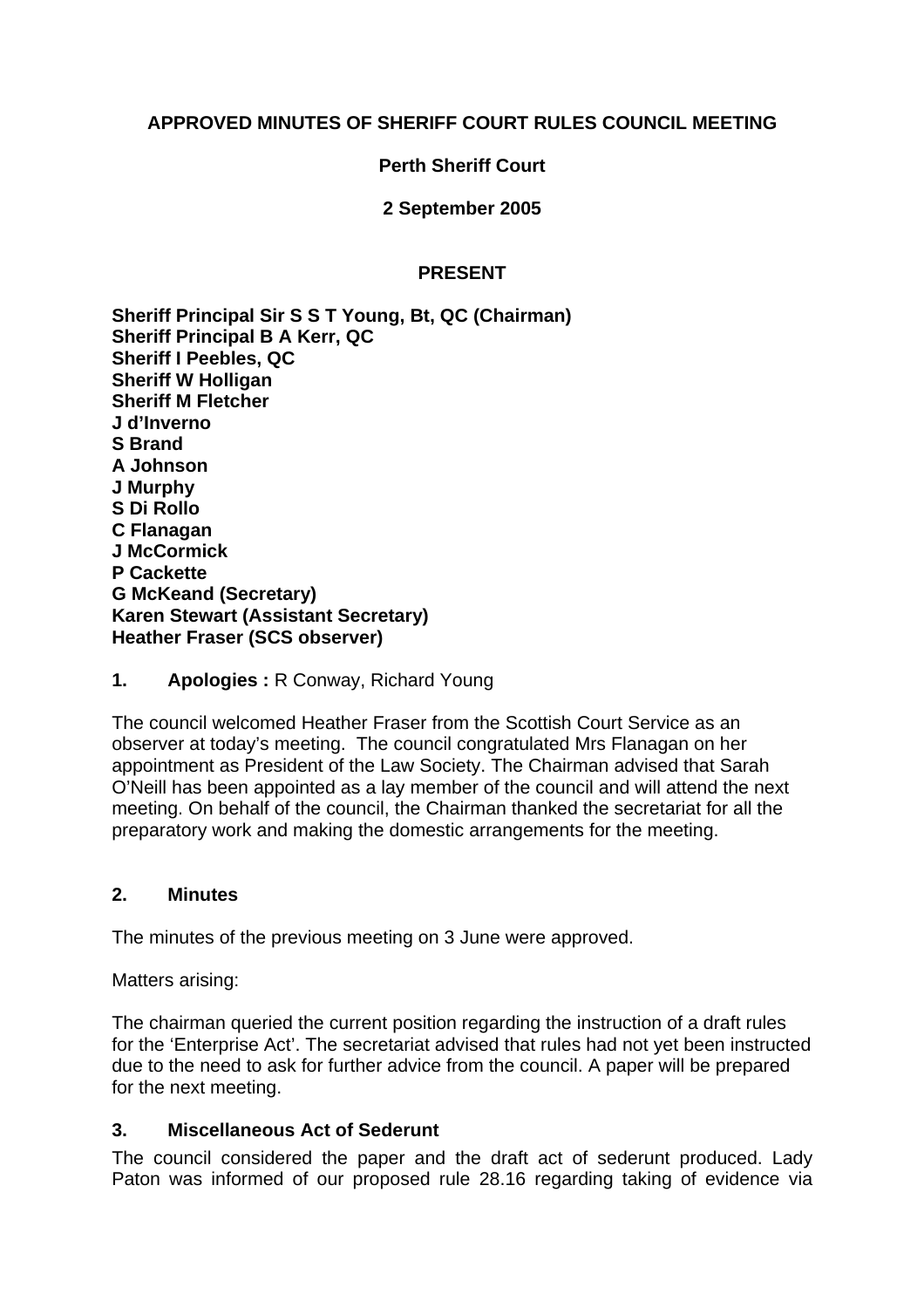## **APPROVED MINUTES OF SHERIFF COURT RULES COUNCIL MEETING**

#### **Perth Sheriff Court**

**2 September 2005** 

#### **PRESENT**

**Sheriff Principal Sir S S T Young, Bt, QC (Chairman) Sheriff Principal B A Kerr, QC Sheriff I Peebles, QC Sheriff W Holligan Sheriff M Fletcher J d'Inverno S Brand A Johnson J Murphy S Di Rollo C Flanagan J McCormick P Cackette G McKeand (Secretary) Karen Stewart (Assistant Secretary) Heather Fraser (SCS observer)** 

**1. Apologies :** R Conway, Richard Young

The council welcomed Heather Fraser from the Scottish Court Service as an observer at today's meeting. The council congratulated Mrs Flanagan on her appointment as President of the Law Society. The Chairman advised that Sarah O'Neill has been appointed as a lay member of the council and will attend the next meeting. On behalf of the council, the Chairman thanked the secretariat for all the preparatory work and making the domestic arrangements for the meeting.

#### **2. Minutes**

The minutes of the previous meeting on 3 June were approved.

Matters arising:

The chairman queried the current position regarding the instruction of a draft rules for the 'Enterprise Act'. The secretariat advised that rules had not yet been instructed due to the need to ask for further advice from the council. A paper will be prepared for the next meeting.

#### **3. Miscellaneous Act of Sederunt**

The council considered the paper and the draft act of sederunt produced. Lady Paton was informed of our proposed rule 28.16 regarding taking of evidence via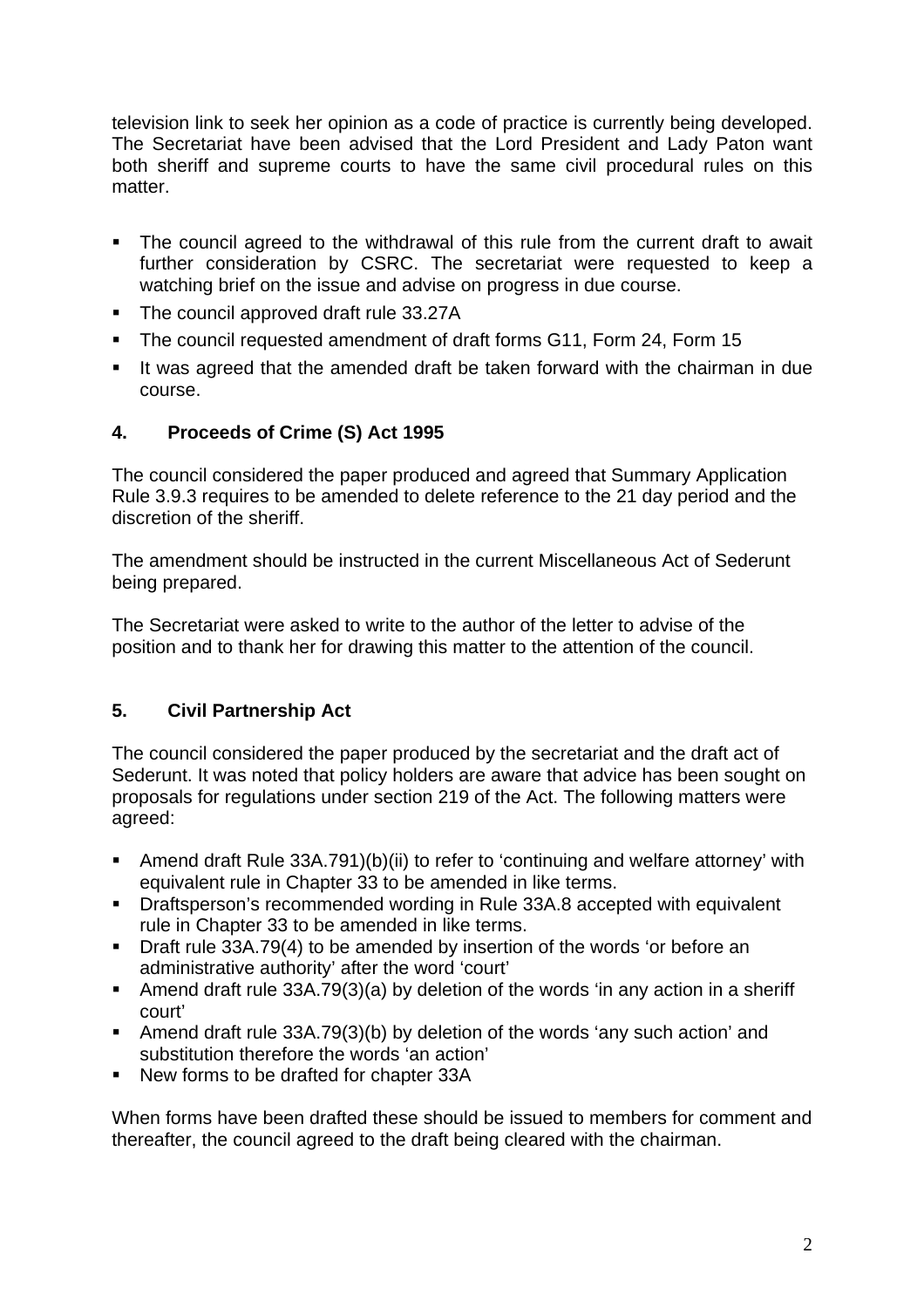television link to seek her opinion as a code of practice is currently being developed. The Secretariat have been advised that the Lord President and Lady Paton want both sheriff and supreme courts to have the same civil procedural rules on this matter.

- The council agreed to the withdrawal of this rule from the current draft to await further consideration by CSRC. The secretariat were requested to keep a watching brief on the issue and advise on progress in due course.
- The council approved draft rule 33.27A
- The council requested amendment of draft forms G11, Form 24, Form 15
- It was agreed that the amended draft be taken forward with the chairman in due course.

# **4. Proceeds of Crime (S) Act 1995**

The council considered the paper produced and agreed that Summary Application Rule 3.9.3 requires to be amended to delete reference to the 21 day period and the discretion of the sheriff.

The amendment should be instructed in the current Miscellaneous Act of Sederunt being prepared.

The Secretariat were asked to write to the author of the letter to advise of the position and to thank her for drawing this matter to the attention of the council.

# **5. Civil Partnership Act**

The council considered the paper produced by the secretariat and the draft act of Sederunt. It was noted that policy holders are aware that advice has been sought on proposals for regulations under section 219 of the Act. The following matters were agreed:

- Amend draft Rule 33A.791)(b)(ii) to refer to 'continuing and welfare attorney' with equivalent rule in Chapter 33 to be amended in like terms.
- **•** Draftsperson's recommended wording in Rule 33A.8 accepted with equivalent rule in Chapter 33 to be amended in like terms.
- **Draft rule 33A.79(4) to be amended by insertion of the words 'or before an** administrative authority' after the word 'court'
- Amend draft rule 33A.79(3)(a) by deletion of the words 'in any action in a sheriff court'
- Amend draft rule 33A.79(3)(b) by deletion of the words 'any such action' and substitution therefore the words 'an action'
- New forms to be drafted for chapter 33A

When forms have been drafted these should be issued to members for comment and thereafter, the council agreed to the draft being cleared with the chairman.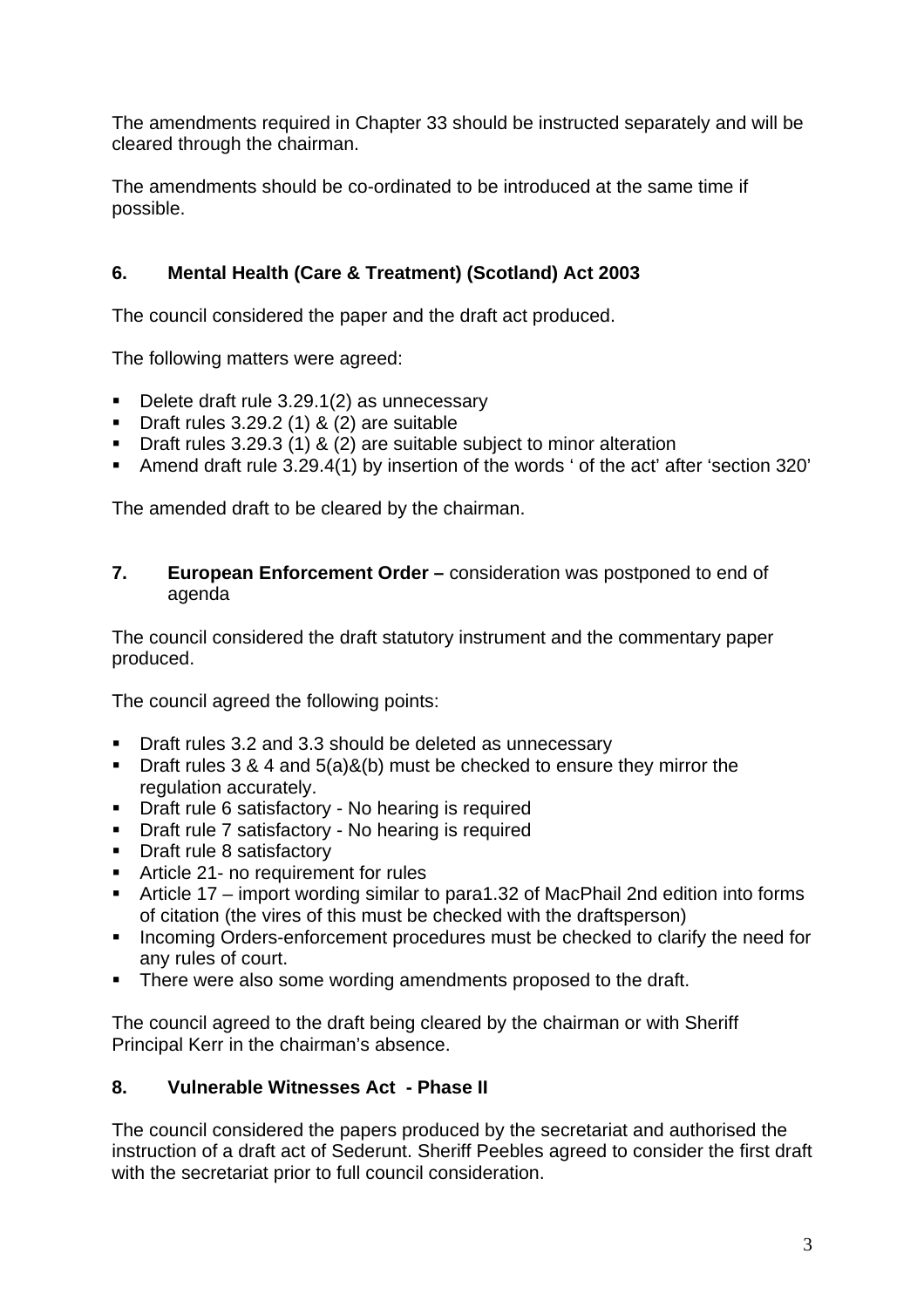The amendments required in Chapter 33 should be instructed separately and will be cleared through the chairman.

The amendments should be co-ordinated to be introduced at the same time if possible.

# **6. Mental Health (Care & Treatment) (Scotland) Act 2003**

The council considered the paper and the draft act produced.

The following matters were agreed:

- Delete draft rule 3.29.1(2) as unnecessary
- Draft rules  $3.29.2$  (1) & (2) are suitable
- **Draft rules 3.29.3 (1) & (2) are suitable subject to minor alteration**
- Amend draft rule 3.29.4(1) by insertion of the words ' of the act' after 'section 320'

The amended draft to be cleared by the chairman.

## **7. European Enforcement Order –** consideration was postponed to end of agenda

The council considered the draft statutory instrument and the commentary paper produced.

The council agreed the following points:

- **Draft rules 3.2 and 3.3 should be deleted as unnecessary**
- **Draft rules 3 & 4 and 5(a)&(b) must be checked to ensure they mirror the** regulation accurately.
- **Draft rule 6 satisfactory No hearing is required**
- **Draft rule 7 satisfactory No hearing is required**
- Draft rule 8 satisfactory
- **Article 21- no requirement for rules**
- Article 17 import wording similar to para1.32 of MacPhail 2nd edition into forms of citation (the vires of this must be checked with the draftsperson)
- **Incoming Orders-enforcement procedures must be checked to clarify the need for** any rules of court.
- There were also some wording amendments proposed to the draft.

The council agreed to the draft being cleared by the chairman or with Sheriff Principal Kerr in the chairman's absence.

# **8. Vulnerable Witnesses Act - Phase II**

The council considered the papers produced by the secretariat and authorised the instruction of a draft act of Sederunt. Sheriff Peebles agreed to consider the first draft with the secretariat prior to full council consideration.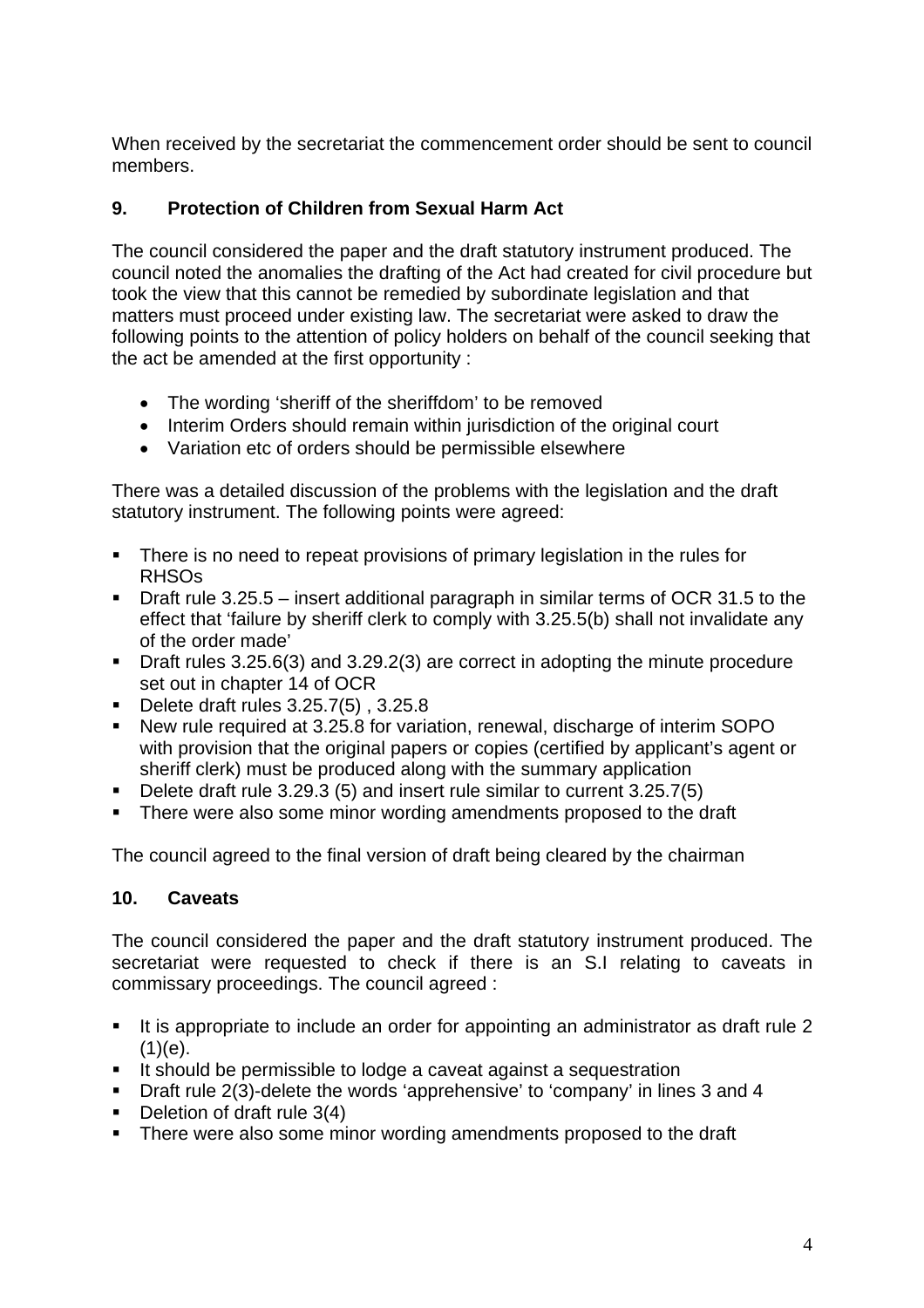When received by the secretariat the commencement order should be sent to council members.

# **9. Protection of Children from Sexual Harm Act**

The council considered the paper and the draft statutory instrument produced. The council noted the anomalies the drafting of the Act had created for civil procedure but took the view that this cannot be remedied by subordinate legislation and that matters must proceed under existing law. The secretariat were asked to draw the following points to the attention of policy holders on behalf of the council seeking that the act be amended at the first opportunity :

- The wording 'sheriff of the sheriffdom' to be removed
- Interim Orders should remain within jurisdiction of the original court
- Variation etc of orders should be permissible elsewhere

There was a detailed discussion of the problems with the legislation and the draft statutory instrument. The following points were agreed:

- **There is no need to repeat provisions of primary legislation in the rules for** RHSOs
- Draft rule 3.25.5 insert additional paragraph in similar terms of OCR 31.5 to the effect that 'failure by sheriff clerk to comply with 3.25.5(b) shall not invalidate any of the order made'
- Draft rules 3.25.6(3) and 3.29.2(3) are correct in adopting the minute procedure set out in chapter 14 of OCR
- Delete draft rules 3.25.7(5), 3.25.8
- New rule required at 3.25.8 for variation, renewal, discharge of interim SOPO with provision that the original papers or copies (certified by applicant's agent or sheriff clerk) must be produced along with the summary application
- Delete draft rule 3.29.3 (5) and insert rule similar to current 3.25.7(5)
- There were also some minor wording amendments proposed to the draft

The council agreed to the final version of draft being cleared by the chairman

## **10. Caveats**

The council considered the paper and the draft statutory instrument produced. The secretariat were requested to check if there is an S.I relating to caveats in commissary proceedings. The council agreed :

- It is appropriate to include an order for appointing an administrator as draft rule 2  $(1)(e)$ .
- It should be permissible to lodge a caveat against a sequestration
- **Draft rule 2(3)-delete the words 'apprehensive' to 'company' in lines 3 and 4**
- $\blacksquare$  Deletion of draft rule 3(4)
- There were also some minor wording amendments proposed to the draft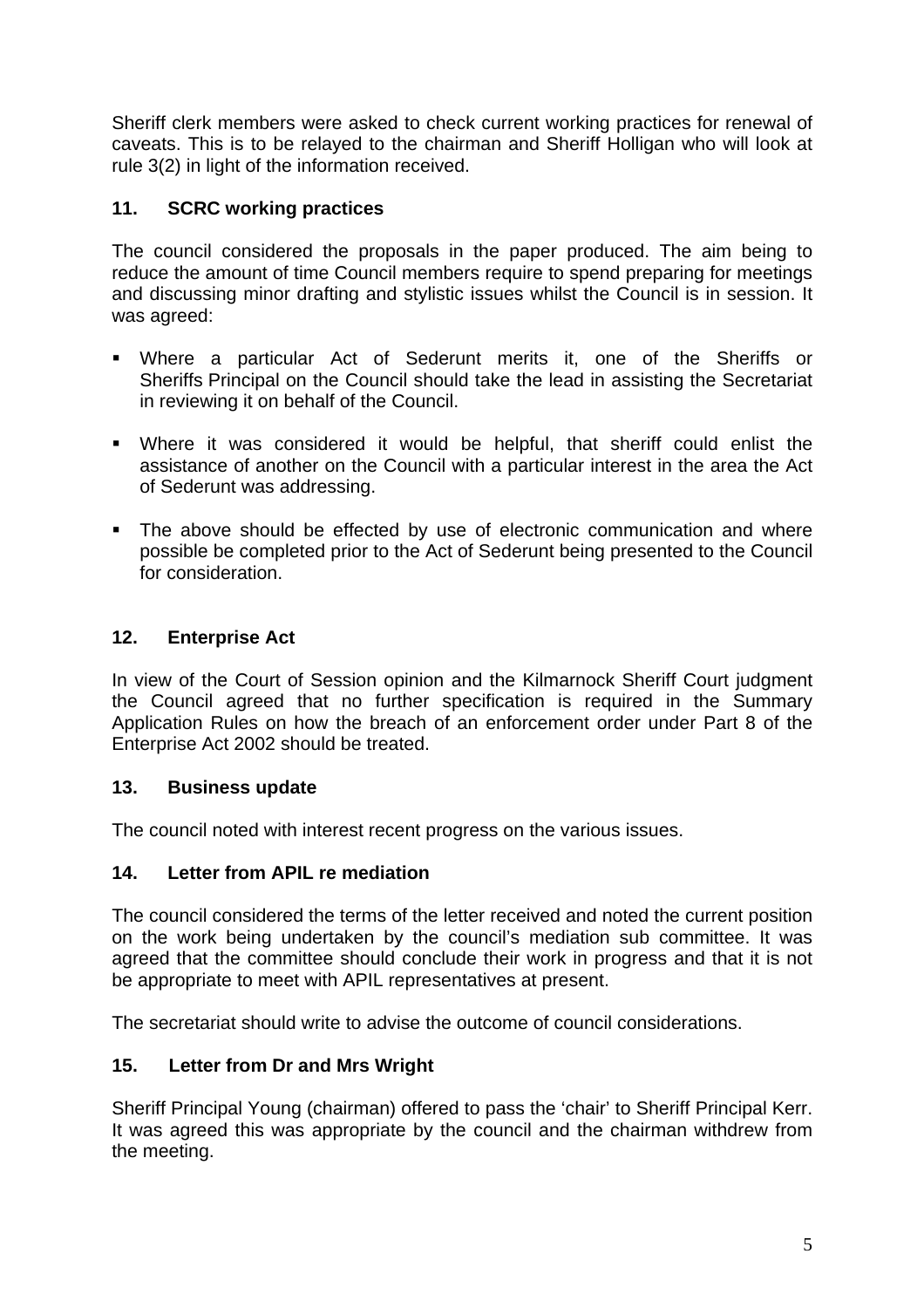Sheriff clerk members were asked to check current working practices for renewal of caveats. This is to be relayed to the chairman and Sheriff Holligan who will look at rule 3(2) in light of the information received.

# **11. SCRC working practices**

The council considered the proposals in the paper produced. The aim being to reduce the amount of time Council members require to spend preparing for meetings and discussing minor drafting and stylistic issues whilst the Council is in session. It was agreed:

- Where a particular Act of Sederunt merits it, one of the Sheriffs or Sheriffs Principal on the Council should take the lead in assisting the Secretariat in reviewing it on behalf of the Council.
- Where it was considered it would be helpful, that sheriff could enlist the assistance of another on the Council with a particular interest in the area the Act of Sederunt was addressing.
- The above should be effected by use of electronic communication and where possible be completed prior to the Act of Sederunt being presented to the Council for consideration.

# **12. Enterprise Act**

In view of the Court of Session opinion and the Kilmarnock Sheriff Court judgment the Council agreed that no further specification is required in the Summary Application Rules on how the breach of an enforcement order under Part 8 of the Enterprise Act 2002 should be treated.

## **13. Business update**

The council noted with interest recent progress on the various issues.

## **14. Letter from APIL re mediation**

The council considered the terms of the letter received and noted the current position on the work being undertaken by the council's mediation sub committee. It was agreed that the committee should conclude their work in progress and that it is not be appropriate to meet with APIL representatives at present.

The secretariat should write to advise the outcome of council considerations.

## **15. Letter from Dr and Mrs Wright**

Sheriff Principal Young (chairman) offered to pass the 'chair' to Sheriff Principal Kerr. It was agreed this was appropriate by the council and the chairman withdrew from the meeting.